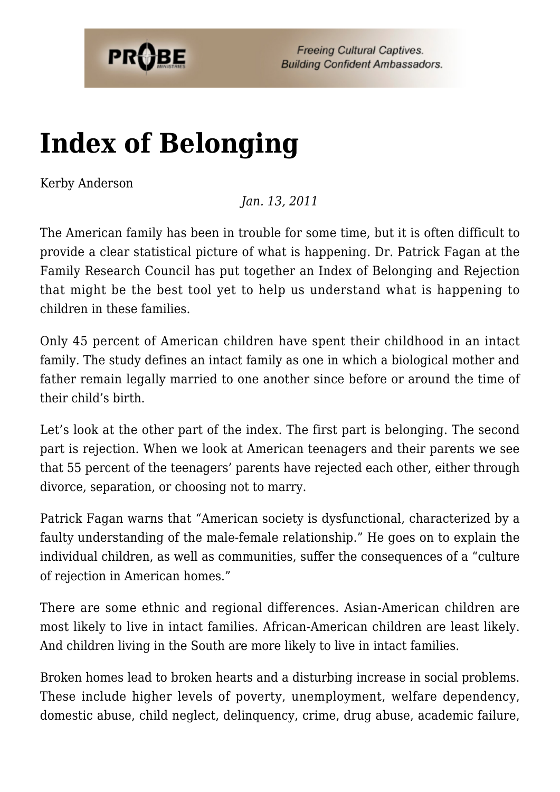

**Freeing Cultural Captives. Building Confident Ambassadors.** 

## **[Index of Belonging](https://probe.org/index-of-belonging/)**

Kerby Anderson

*Jan. 13, 2011*

The American family has been in trouble for some time, but it is often difficult to provide a clear statistical picture of what is happening. Dr. Patrick Fagan at the Family Research Council has put together an Index of Belonging and Rejection that might be the best tool yet to help us understand what is happening to children in these families.

Only 45 percent of American children have spent their childhood in an intact family. The study defines an intact family as one in which a biological mother and father remain legally married to one another since before or around the time of their child's birth.

Let's look at the other part of the index. The first part is belonging. The second part is rejection. When we look at American teenagers and their parents we see that 55 percent of the teenagers' parents have rejected each other, either through divorce, separation, or choosing not to marry.

Patrick Fagan warns that "American society is dysfunctional, characterized by a faulty understanding of the male-female relationship." He goes on to explain the individual children, as well as communities, suffer the consequences of a "culture of rejection in American homes."

There are some ethnic and regional differences. Asian-American children are most likely to live in intact families. African-American children are least likely. And children living in the South are more likely to live in intact families.

Broken homes lead to broken hearts and a disturbing increase in social problems. These include higher levels of poverty, unemployment, welfare dependency, domestic abuse, child neglect, delinquency, crime, drug abuse, academic failure,